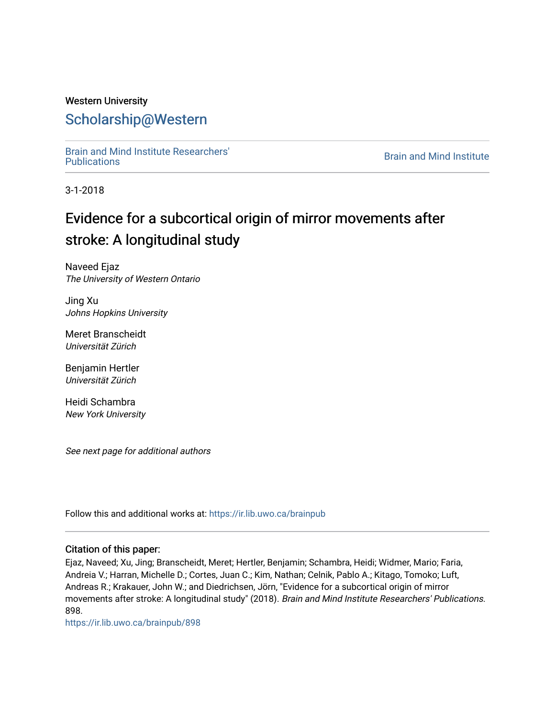## Western University [Scholarship@Western](https://ir.lib.uwo.ca/)

[Brain and Mind Institute Researchers'](https://ir.lib.uwo.ca/brainpub) 

**Brain and Mind Institute** 

3-1-2018

# Evidence for a subcortical origin of mirror movements after stroke: A longitudinal study

Naveed Ejaz The University of Western Ontario

Jing Xu Johns Hopkins University

Meret Branscheidt Universität Zürich

Benjamin Hertler Universität Zürich

Heidi Schambra New York University

See next page for additional authors

Follow this and additional works at: [https://ir.lib.uwo.ca/brainpub](https://ir.lib.uwo.ca/brainpub?utm_source=ir.lib.uwo.ca%2Fbrainpub%2F898&utm_medium=PDF&utm_campaign=PDFCoverPages)

#### Citation of this paper:

Ejaz, Naveed; Xu, Jing; Branscheidt, Meret; Hertler, Benjamin; Schambra, Heidi; Widmer, Mario; Faria, Andreia V.; Harran, Michelle D.; Cortes, Juan C.; Kim, Nathan; Celnik, Pablo A.; Kitago, Tomoko; Luft, Andreas R.; Krakauer, John W.; and Diedrichsen, Jörn, "Evidence for a subcortical origin of mirror movements after stroke: A longitudinal study" (2018). Brain and Mind Institute Researchers' Publications. 898.

[https://ir.lib.uwo.ca/brainpub/898](https://ir.lib.uwo.ca/brainpub/898?utm_source=ir.lib.uwo.ca%2Fbrainpub%2F898&utm_medium=PDF&utm_campaign=PDFCoverPages)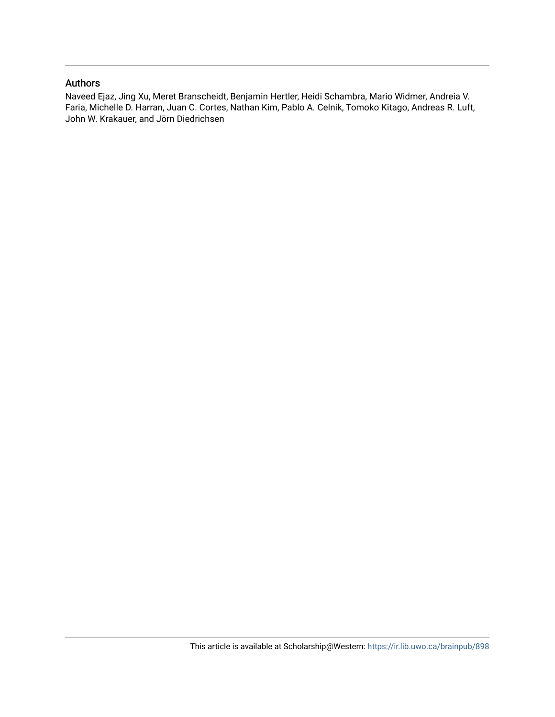#### Authors

Naveed Ejaz, Jing Xu, Meret Branscheidt, Benjamin Hertler, Heidi Schambra, Mario Widmer, Andreia V. Faria, Michelle D. Harran, Juan C. Cortes, Nathan Kim, Pablo A. Celnik, Tomoko Kitago, Andreas R. Luft, John W. Krakauer, and Jörn Diedrichsen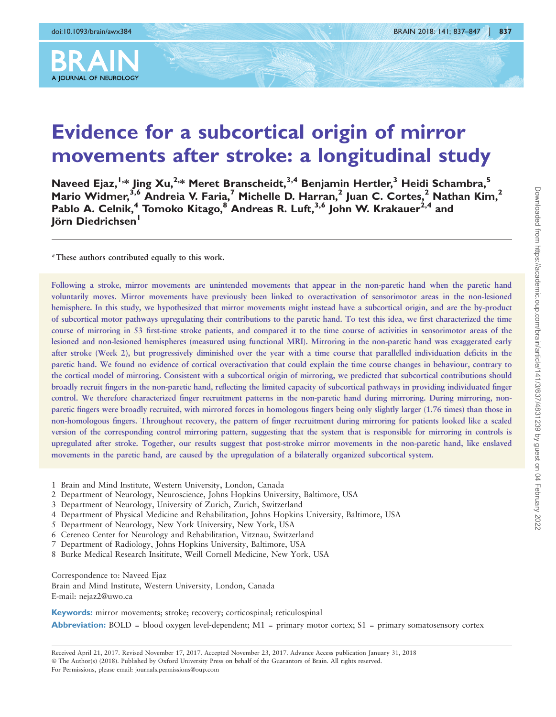

# Evidence for a subcortical origin of mirror movements after stroke: a longitudinal study

Naveed Ejaz,<sup>1,\*</sup> Jing Xu,<sup>2,\*</sup> Meret Branscheidt,<sup>3,4</sup> Benjamin Hertler,<sup>3</sup> Heidi Schambra,<sup>5</sup> Mario Widmer,<sup>3,6</sup> Andreia V. Faria,<sup>7</sup> Michelle D. Harran,<sup>2</sup> Juan C. Cortes,<sup>2</sup> Nathan Kim,<sup>2</sup> Pablo A. Celnik,<sup>4</sup> Tomoko Kitago,<sup>8</sup> Andreas R. Luft,<sup>3,6</sup> John W. Krakauer<sup>2,4</sup> and Jörn Diedrichsen<sup>1</sup>

\*These authors contributed equally to this work.

Following a stroke, mirror movements are unintended movements that appear in the non-paretic hand when the paretic hand voluntarily moves. Mirror movements have previously been linked to overactivation of sensorimotor areas in the non-lesioned hemisphere. In this study, we hypothesized that mirror movements might instead have a subcortical origin, and are the by-product of subcortical motor pathways upregulating their contributions to the paretic hand. To test this idea, we first characterized the time course of mirroring in 53 first-time stroke patients, and compared it to the time course of activities in sensorimotor areas of the lesioned and non-lesioned hemispheres (measured using functional MRI). Mirroring in the non-paretic hand was exaggerated early after stroke (Week 2), but progressively diminished over the year with a time course that parallelled individuation deficits in the paretic hand. We found no evidence of cortical overactivation that could explain the time course changes in behaviour, contrary to the cortical model of mirroring. Consistent with a subcortical origin of mirroring, we predicted that subcortical contributions should broadly recruit fingers in the non-paretic hand, reflecting the limited capacity of subcortical pathways in providing individuated finger control. We therefore characterized finger recruitment patterns in the non-paretic hand during mirroring. During mirroring, nonparetic fingers were broadly recruited, with mirrored forces in homologous fingers being only slightly larger (1.76 times) than those in non-homologous fingers. Throughout recovery, the pattern of finger recruitment during mirroring for patients looked like a scaled version of the corresponding control mirroring pattern, suggesting that the system that is responsible for mirroring in controls is upregulated after stroke. Together, our results suggest that post-stroke mirror movements in the non-paretic hand, like enslaved movements in the paretic hand, are caused by the upregulation of a bilaterally organized subcortical system.

- 1 Brain and Mind Institute, Western University, London, Canada
- 2 Department of Neurology, Neuroscience, Johns Hopkins University, Baltimore, USA
- 3 Department of Neurology, University of Zurich, Zurich, Switzerland
- 4 Department of Physical Medicine and Rehabilitation, Johns Hopkins University, Baltimore, USA
- 5 Department of Neurology, New York University, New York, USA
- 6 Cereneo Center for Neurology and Rehabilitation, Vitznau, Switzerland
- 7 Department of Radiology, Johns Hopkins University, Baltimore, USA
- 8 Burke Medical Research Insititute, Weill Cornell Medicine, New York, USA

Correspondence to: Naveed Ejaz

Brain and Mind Institute, Western University, London, Canada E-mail: nejaz2@uwo.ca

Keywords: mirror movements; stroke; recovery; corticospinal; reticulospinal

**Abbreviation:** BOLD = blood oxygen level-dependent;  $M1$  = primary motor cortex;  $S1$  = primary somatosensory cortex

Received April 21, 2017. Revised November 17, 2017. Accepted November 23, 2017. Advance Access publication January 31, 2018 © The Author(s) (2018). Published by Oxford University Press on behalf of the Guarantors of Brain. All rights reserved. For Permissions, please email: journals.permissions@oup.com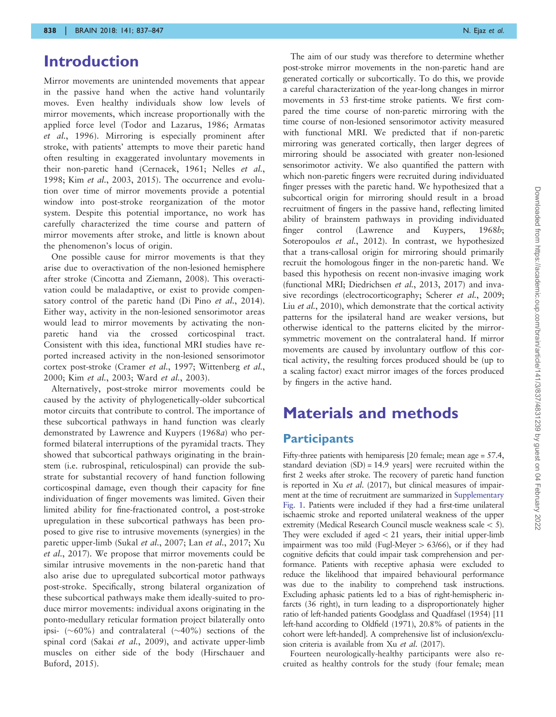## Introduction

Mirror movements are unintended movements that appear in the passive hand when the active hand voluntarily moves. Even healthy individuals show low levels of mirror movements, which increase proportionally with the applied force level [\(Todor and Lazarus, 1986](#page-12-0); [Armatas](#page-12-0) et al.[, 1996](#page-12-0)). Mirroring is especially prominent after stroke, with patients' attempts to move their paretic hand often resulting in exaggerated involuntary movements in their non-paretic hand ([Cernacek, 1961; Nelles](#page-12-0) et al., [1998](#page-12-0); Kim et al.[, 2003, 2015\)](#page-12-0). The occurrence and evolution over time of mirror movements provide a potential window into post-stroke reorganization of the motor system. Despite this potential importance, no work has carefully characterized the time course and pattern of mirror movements after stroke, and little is known about the phenomenon's locus of origin.

One possible cause for mirror movements is that they arise due to overactivation of the non-lesioned hemisphere after stroke [\(Cincotta and Ziemann, 2008](#page-12-0)). This overactivation could be maladaptive, or exist to provide compen-satory control of the paretic hand [\(Di Pino](#page-12-0) et al., 2014). Either way, activity in the non-lesioned sensorimotor areas would lead to mirror movements by activating the nonparetic hand via the crossed corticospinal tract. Consistent with this idea, functional MRI studies have reported increased activity in the non-lesioned sensorimotor cortex post-stroke ([Cramer](#page-12-0) et al., 1997; [Wittenberg](#page-12-0) et al., [2000](#page-12-0); Kim et al.[, 2003](#page-12-0); Ward et al.[, 2003\)](#page-12-0).

Alternatively, post-stroke mirror movements could be caused by the activity of phylogenetically-older subcortical motor circuits that contribute to control. The importance of these subcortical pathways in hand function was clearly demonstrated by [Lawrence and Kuypers \(1968](#page-12-0)a) who performed bilateral interruptions of the pyramidal tracts. They showed that subcortical pathways originating in the brainstem (i.e. rubrospinal, reticulospinal) can provide the substrate for substantial recovery of hand function following corticospinal damage, even though their capacity for fine individuation of finger movements was limited. Given their limited ability for fine-fractionated control, a post-stroke upregulation in these subcortical pathways has been proposed to give rise to intrusive movements (synergies) in the paretic upper-limb (Sukal et al.[, 2007](#page-12-0); Lan et al.[, 2017; Xu](#page-12-0) et al.[, 2017\)](#page-12-0). We propose that mirror movements could be similar intrusive movements in the non-paretic hand that also arise due to upregulated subcortical motor pathways post-stroke. Specifically, strong bilateral organization of these subcortical pathways make them ideally-suited to produce mirror movements: individual axons originating in the ponto-medullary reticular formation project bilaterally onto ipsi- ( $\sim$ 60%) and contralateral ( $\sim$ 40%) sections of the spinal cord (Sakai et al.[, 2009\)](#page-12-0), and activate upper-limb muscles on either side of the body ([Hirschauer and](#page-12-0) [Buford, 2015\)](#page-12-0).

The aim of our study was therefore to determine whether post-stroke mirror movements in the non-paretic hand are generated cortically or subcortically. To do this, we provide a careful characterization of the year-long changes in mirror movements in 53 first-time stroke patients. We first compared the time course of non-paretic mirroring with the time course of non-lesioned sensorimotor activity measured with functional MRI. We predicted that if non-paretic mirroring was generated cortically, then larger degrees of mirroring should be associated with greater non-lesioned sensorimotor activity. We also quantified the pattern with which non-paretic fingers were recruited during individuated finger presses with the paretic hand. We hypothesized that a subcortical origin for mirroring should result in a broad recruitment of fingers in the passive hand, reflecting limited ability of brainstem pathways in providing individuated finger control [\(Lawrence and Kuypers, 1968](#page-12-0)b; [Soteropoulos](#page-12-0) et al., 2012). In contrast, we hypothesized that a trans-callosal origin for mirroring should primarily recruit the homologous finger in the non-paretic hand. We based this hypothesis on recent non-invasive imaging work (functional MRI; [Diedrichsen](#page-12-0) et al., 2013, [2017](#page-12-0)) and inva-sive recordings (electrocorticography; [Scherer](#page-12-0) et al., 2009; Liu et al.[, 2010\)](#page-12-0), which demonstrate that the cortical activity patterns for the ipsilateral hand are weaker versions, but otherwise identical to the patterns elicited by the mirrorsymmetric movement on the contralateral hand. If mirror movements are caused by involuntary outflow of this cortical activity, the resulting forces produced should be (up to a scaling factor) exact mirror images of the forces produced by fingers in the active hand.

## Materials and methods

#### **Participants**

Fifty-three patients with hemiparesis [20 female; mean age = 57.4, standard deviation  $(SD) = 14.9$  years] were recruited within the first 2 weeks after stroke. The recovery of paretic hand function is reported in Xu et al[. \(2017\)](#page-12-0), but clinical measures of impairment at the time of recruitment are summarized in Supplementary Fig. 1. Patients were included if they had a first-time unilateral ischaemic stroke and reported unilateral weakness of the upper extremity (Medical Research Council muscle weakness scale  $<$  5). They were excluded if aged  $<$  21 years, their initial upper-limb impairment was too mild (Fugl-Meyer  $> 63/66$ ), or if they had cognitive deficits that could impair task comprehension and performance. Patients with receptive aphasia were excluded to reduce the likelihood that impaired behavioural performance was due to the inability to comprehend task instructions. Excluding aphasic patients led to a bias of right-hemispheric infarcts (36 right), in turn leading to a disproportionately higher ratio of left-handed patients [Goodglass and Quadfasel \(1954\)](#page-12-0) [11 left-hand according to [Oldfield \(1971\)](#page-12-0), 20.8% of patients in the cohort were left-handed]. A comprehensive list of inclusion/exclusion criteria is available from Xu et al[. \(2017\)](#page-12-0).

Fourteen neurologically-healthy participants were also recruited as healthy controls for the study (four female; mean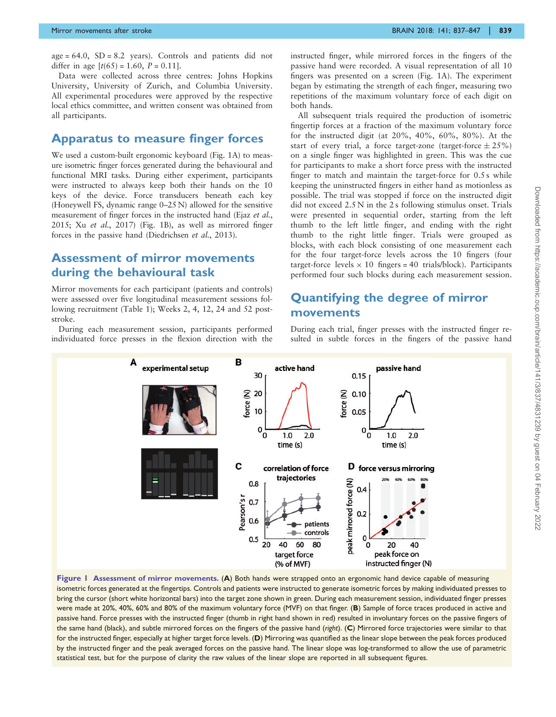<span id="page-4-0"></span> $age = 64.0$ ,  $SD = 8.2$  years). Controls and patients did not differ in age  $[t(65) = 1.60, P = 0.11]$ .

Data were collected across three centres: Johns Hopkins University, University of Zurich, and Columbia University. All experimental procedures were approved by the respective local ethics committee, and written consent was obtained from all participants.

#### Apparatus to measure finger forces

We used a custom-built ergonomic keyboard (Fig. 1A) to measure isometric finger forces generated during the behavioural and functional MRI tasks. During either experiment, participants were instructed to always keep both their hands on the 10 keys of the device. Force transducers beneath each key (Honeywell FS, dynamic range 0–25 N) allowed for the sensitive measurement of finger forces in the instructed hand (Ejaz [et al.](#page-12-0), [2015](#page-12-0); Xu et al.[, 2017\)](#page-12-0) (Fig. 1B), as well as mirrored finger forces in the passive hand ([Diedrichsen](#page-12-0) et al., 2013).

#### Assessment of mirror movements during the behavioural task

Mirror movements for each participant (patients and controls) were assessed over five longitudinal measurement sessions following recruitment ([Table 1\)](#page-5-0); Weeks 2, 4, 12, 24 and 52 poststroke.

During each measurement session, participants performed individuated force presses in the flexion direction with the

instructed finger, while mirrored forces in the fingers of the passive hand were recorded. A visual representation of all 10 fingers was presented on a screen (Fig. 1A). The experiment began by estimating the strength of each finger, measuring two repetitions of the maximum voluntary force of each digit on both hands.

All subsequent trials required the production of isometric fingertip forces at a fraction of the maximum voluntary force for the instructed digit (at 20%, 40%, 60%, 80%). At the start of every trial, a force target-zone (target-force  $\pm 25\%$ ) on a single finger was highlighted in green. This was the cue for participants to make a short force press with the instructed finger to match and maintain the target-force for 0.5 s while keeping the uninstructed fingers in either hand as motionless as possible. The trial was stopped if force on the instructed digit did not exceed 2.5 N in the 2 s following stimulus onset. Trials were presented in sequential order, starting from the left thumb to the left little finger, and ending with the right thumb to the right little finger. Trials were grouped as blocks, with each block consisting of one measurement each for the four target-force levels across the 10 fingers (four target-force levels  $\times$  10 fingers = 40 trials/block). Participants performed four such blocks during each measurement session.

### Quantifying the degree of mirror movements

During each trial, finger presses with the instructed finger resulted in subtle forces in the fingers of the passive hand



Figure 1 Assessment of mirror movements. (A) Both hands were strapped onto an ergonomic hand device capable of measuring isometric forces generated at the fingertips. Controls and patients were instructed to generate isometric forces by making individuated presses to bring the cursor (short white horizontal bars) into the target zone shown in green. During each measurement session, individuated finger presses were made at 20%, 40%, 60% and 80% of the maximum voluntary force (MVF) on that finger. (B) Sample of force traces produced in active and passive hand. Force presses with the instructed finger (thumb in right hand shown in red) resulted in involuntary forces on the passive fingers of the same hand (black), and subtle mirrored forces on the fingers of the passive hand (right). (C) Mirrored force trajectories were similar to that for the instructed finger, especially at higher target force levels. (D) Mirroring was quantified as the linear slope between the peak forces produced by the instructed finger and the peak averaged forces on the passive hand. The linear slope was log-transformed to allow the use of parametric statistical test, but for the purpose of clarity the raw values of the linear slope are reported in all subsequent figures.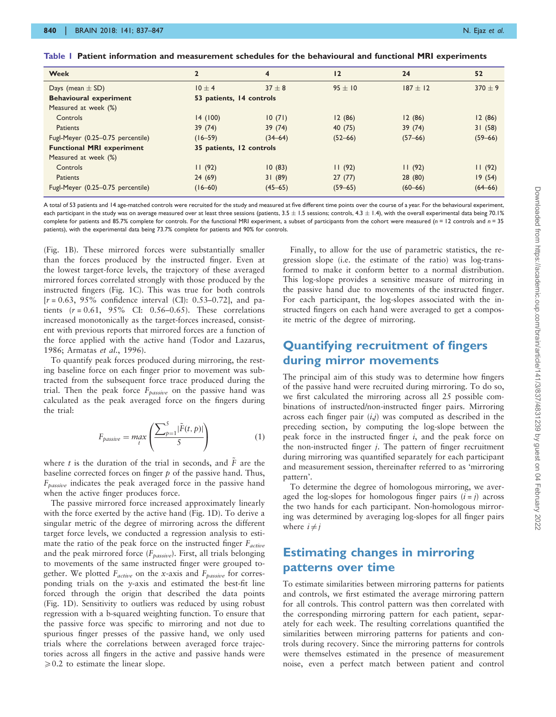| <b>Week</b>                       | $\overline{2}$           | $\overline{4}$ | 12          | 24          | 52          |  |
|-----------------------------------|--------------------------|----------------|-------------|-------------|-------------|--|
| Days (mean $\pm$ SD)              | $10 + 4$                 | $37 + 8$       | $95 + 10$   | $187 + 12$  | $370 + 9$   |  |
| <b>Behavioural experiment</b>     | 53 patients, 14 controls |                |             |             |             |  |
| Measured at week (%)              |                          |                |             |             |             |  |
| <b>Controls</b>                   | 14(100)                  | 10(71)         | 12(86)      | 12(86)      | 12(86)      |  |
| <b>Patients</b>                   | 39(74)                   | 39(74)         | 40 (75)     | 39(74)      | 31(58)      |  |
| Fugl-Meyer (0.25-0.75 percentile) | $(16 - 59)$              | $(34 - 64)$    | $(52 - 66)$ | $(57 - 66)$ | $(59 - 66)$ |  |
| <b>Functional MRI experiment</b>  | 35 patients, 12 controls |                |             |             |             |  |
| Measured at week (%)              |                          |                |             |             |             |  |
| Controls                          | 11(92)                   | 10(83)         | 11(92)      | 11(92)      | 11(92)      |  |
| <b>Patients</b>                   | 24(69)                   | 31(89)         | 27(77)      | 28 (80)     | 19(54)      |  |
| Fugl-Meyer (0.25-0.75 percentile) | $(16 - 60)$              | $(45 - 65)$    | $(59 - 65)$ | $(60 - 66)$ | (64–66)     |  |

<span id="page-5-0"></span>Table 1 Patient information and measurement schedules for the behavioural and functional MRI experiments

A total of 53 patients and 14 age-matched controls were recruited for the study and measured at five different time points over the course of a year. For the behavioural experiment, each participant in the study was on average measured over at least three sessions (patients, 3.5 ± 1.5 sessions; controls, 4.3 ± 1.4), with the overall experimental data being 70.1% complete for patients and 85.7% complete for controls. For the functional MRI experiment, a subset of participants from the cohort were measured (n = 12 controls and n = 35 patients), with the experimental data being 73.7% complete for patients and 90% for controls.

[\(Fig. 1B](#page-4-0)). These mirrored forces were substantially smaller than the forces produced by the instructed finger. Even at the lowest target-force levels, the trajectory of these averaged mirrored forces correlated strongly with those produced by the instructed fingers [\(Fig. 1C](#page-4-0)). This was true for both controls  $[r = 0.63, 95\%$  confidence interval (CI): 0.53–0.72], and patients  $(r = 0.61, 95\%$  CI: 0.56–0.65). These correlations increased monotonically as the target-forces increased, consistent with previous reports that mirrored forces are a function of the force applied with the active hand ([Todor and Lazarus,](#page-12-0) [1986; Armatas](#page-12-0) et al., 1996).

To quantify peak forces produced during mirroring, the resting baseline force on each finger prior to movement was subtracted from the subsequent force trace produced during the trial. Then the peak force  $F_{passive}$  on the passive hand was calculated as the peak averaged force on the fingers during the trial:

$$
F_{passive} = \max_{t} \left( \frac{\sum_{p=1}^{5} |\tilde{F}(t, p)|}{5} \right) \tag{1}
$$

where t is the duration of the trial in seconds, and  $\overline{F}$  are the baseline corrected forces on finger  $p$  of the passive hand. Thus,  $F_{passive}$  indicates the peak averaged force in the passive hand when the active finger produces force.

The passive mirrored force increased approximately linearly with the force exerted by the active hand [\(Fig. 1](#page-4-0)D). To derive a singular metric of the degree of mirroring across the different target force levels, we conducted a regression analysis to estimate the ratio of the peak force on the instructed finger  $F_{active}$ and the peak mirrored force  $(F_{\text{passive}})$ . First, all trials belonging to movements of the same instructed finger were grouped together. We plotted  $F_{active}$  on the x-axis and  $F_{passive}$  for corresponding trials on the y-axis and estimated the best-fit line forced through the origin that described the data points [\(Fig. 1](#page-4-0)D). Sensitivity to outliers was reduced by using robust regression with a b-squared weighting function. To ensure that the passive force was specific to mirroring and not due to spurious finger presses of the passive hand, we only used trials where the correlations between averaged force trajectories across all fingers in the active and passive hands were  $\geqslant$  0.2 to estimate the linear slope.

Finally, to allow for the use of parametric statistics, the regression slope (i.e. the estimate of the ratio) was log-transformed to make it conform better to a normal distribution. This log-slope provides a sensitive measure of mirroring in the passive hand due to movements of the instructed finger. For each participant, the log-slopes associated with the instructed fingers on each hand were averaged to get a composite metric of the degree of mirroring.

#### Quantifying recruitment of fingers during mirror movements

The principal aim of this study was to determine how fingers of the passive hand were recruited during mirroring. To do so, we first calculated the mirroring across all 25 possible combinations of instructed/non-instructed finger pairs. Mirroring across each finger pair  $(i,j)$  was computed as described in the preceding section, by computing the log-slope between the peak force in the instructed finger i, and the peak force on the non-instructed finger  $j$ . The pattern of finger recruitment during mirroring was quantified separately for each participant and measurement session, thereinafter referred to as 'mirroring pattern'.

To determine the degree of homologous mirroring, we averaged the log-slopes for homologous finger pairs  $(i = j)$  across the two hands for each participant. Non-homologous mirroring was determined by averaging log-slopes for all finger pairs where  $i \neq j$ 

#### Estimating changes in mirroring patterns over time

To estimate similarities between mirroring patterns for patients and controls, we first estimated the average mirroring pattern for all controls. This control pattern was then correlated with the corresponding mirroring pattern for each patient, separately for each week. The resulting correlations quantified the similarities between mirroring patterns for patients and controls during recovery. Since the mirroring patterns for controls were themselves estimated in the presence of measurement noise, even a perfect match between patient and control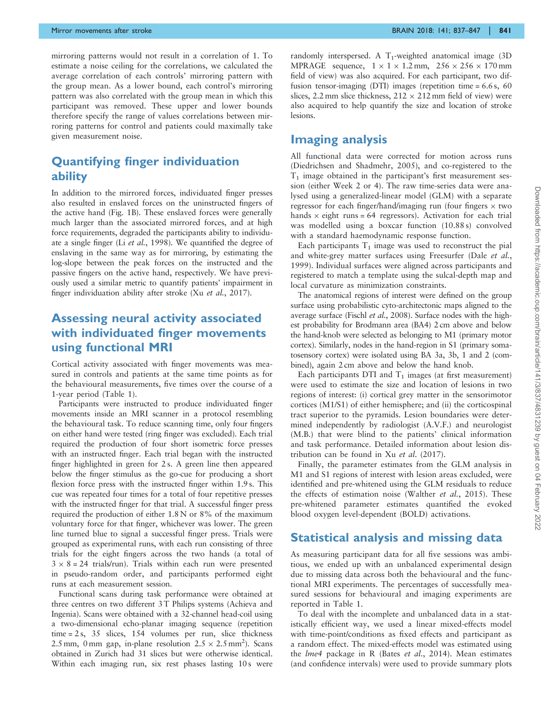mirroring patterns would not result in a correlation of 1. To estimate a noise ceiling for the correlations, we calculated the average correlation of each controls' mirroring pattern with the group mean. As a lower bound, each control's mirroring pattern was also correlated with the group mean in which this participant was removed. These upper and lower bounds therefore specify the range of values correlations between mirroring patterns for control and patients could maximally take given measurement noise.

#### Quantifying finger individuation ability

In addition to the mirrored forces, individuated finger presses also resulted in enslaved forces on the uninstructed fingers of the active hand [\(Fig. 1B](#page-4-0)). These enslaved forces were generally much larger than the associated mirrored forces, and at high force requirements, degraded the participants ability to individuate a single finger (Li et al.[, 1998](#page-12-0)). We quantified the degree of enslaving in the same way as for mirroring, by estimating the log-slope between the peak forces on the instructed and the passive fingers on the active hand, respectively. We have previously used a similar metric to quantify patients' impairment in finger individuation ability after stroke (Xu et al.[, 2017\)](#page-12-0).

### Assessing neural activity associated with individuated finger movements using functional MRI

Cortical activity associated with finger movements was measured in controls and patients at the same time points as for the behavioural measurements, five times over the course of a 1-year period ([Table 1\)](#page-5-0).

Participants were instructed to produce individuated finger movements inside an MRI scanner in a protocol resembling the behavioural task. To reduce scanning time, only four fingers on either hand were tested (ring finger was excluded). Each trial required the production of four short isometric force presses with an instructed finger. Each trial began with the instructed finger highlighted in green for 2 s. A green line then appeared below the finger stimulus as the go-cue for producing a short flexion force press with the instructed finger within 1.9 s. This cue was repeated four times for a total of four repetitive presses with the instructed finger for that trial. A successful finger press required the production of either 1.8 N or 8% of the maximum voluntary force for that finger, whichever was lower. The green line turned blue to signal a successful finger press. Trials were grouped as experimental runs, with each run consisting of three trials for the eight fingers across the two hands (a total of  $3 \times 8 = 24$  trials/run). Trials within each run were presented in pseudo-random order, and participants performed eight runs at each measurement session.

Functional scans during task performance were obtained at three centres on two different 3 T Philips systems (Achieva and Ingenia). Scans were obtained with a 32-channel head-coil using a two-dimensional echo-planar imaging sequence (repetition time = 2 s, 35 slices, 154 volumes per run, slice thickness 2.5 mm, 0 mm gap, in-plane resolution  $2.5 \times 2.5$  mm<sup>2</sup>). Scans obtained in Zurich had 31 slices but were otherwise identical. Within each imaging run, six rest phases lasting 10s were randomly interspersed. A  $T_1$ -weighted anatomical image (3D) MPRAGE sequence,  $1 \times 1 \times 1.2$  mm,  $256 \times 256 \times 170$  mm field of view) was also acquired. For each participant, two diffusion tensor-imaging (DTI) images (repetition time = 6.6 s, 60 slices, 2.2 mm slice thickness,  $212 \times 212$  mm field of view) were also acquired to help quantify the size and location of stroke lesions.

#### Imaging analysis

All functional data were corrected for motion across runs [\(Diedrichsen and Shadmehr, 2005\)](#page-12-0), and co-registered to the  $T_1$  image obtained in the participant's first measurement session (either Week 2 or 4). The raw time-series data were analysed using a generalized-linear model (GLM) with a separate regressor for each finger/hand/imaging run (four fingers  $\times$  two hands  $\times$  eight runs = 64 regressors). Activation for each trial was modelled using a boxcar function (10.88 s) convolved with a standard haemodynamic response function.

Each participants  $T_1$  image was used to reconstruct the pial and white-grey matter surfaces using Freesurfer (Dale [et al.](#page-12-0), [1999](#page-12-0)). Individual surfaces were aligned across participants and registered to match a template using the sulcal-depth map and local curvature as minimization constraints.

The anatomical regions of interest were defined on the group surface using probabilistic cyto-architectonic maps aligned to the average surface (Fischl et al.[, 2008\)](#page-12-0). Surface nodes with the highest probability for Brodmann area (BA4) 2 cm above and below the hand-knob were selected as belonging to M1 (primary motor cortex). Similarly, nodes in the hand-region in S1 (primary somatosensory cortex) were isolated using BA 3a, 3b, 1 and 2 (combined), again 2 cm above and below the hand knob.

Each participants DTI and  $T_1$  images (at first measurement) were used to estimate the size and location of lesions in two regions of interest: (i) cortical grey matter in the sensorimotor cortices (M1/S1) of either hemisphere; and (ii) the corticospinal tract superior to the pyramids. Lesion boundaries were determined independently by radiologist (A.V.F.) and neurologist (M.B.) that were blind to the patients' clinical information and task performance. Detailed information about lesion distribution can be found in Xu et al[. \(2017\)](#page-12-0).

Finally, the parameter estimates from the GLM analysis in M1 and S1 regions of interest with lesion areas excluded, were identified and pre-whitened using the GLM residuals to reduce the effects of estimation noise [\(Walther](#page-12-0) et al., 2015). These pre-whitened parameter estimates quantified the evoked blood oxygen level-dependent (BOLD) activations.

#### Statistical analysis and missing data

As measuring participant data for all five sessions was ambitious, we ended up with an unbalanced experimental design due to missing data across both the behavioural and the functional MRI experiments. The percentages of successfully measured sessions for behavioural and imaging experiments are reported in [Table 1.](#page-5-0)

To deal with the incomplete and unbalanced data in a statistically efficient way, we used a linear mixed-effects model with time-point/conditions as fixed effects and participant as a random effect. The mixed-effects model was estimated using the lme4 package in R (Bates et al.[, 2014](#page-12-0)). Mean estimates (and confidence intervals) were used to provide summary plots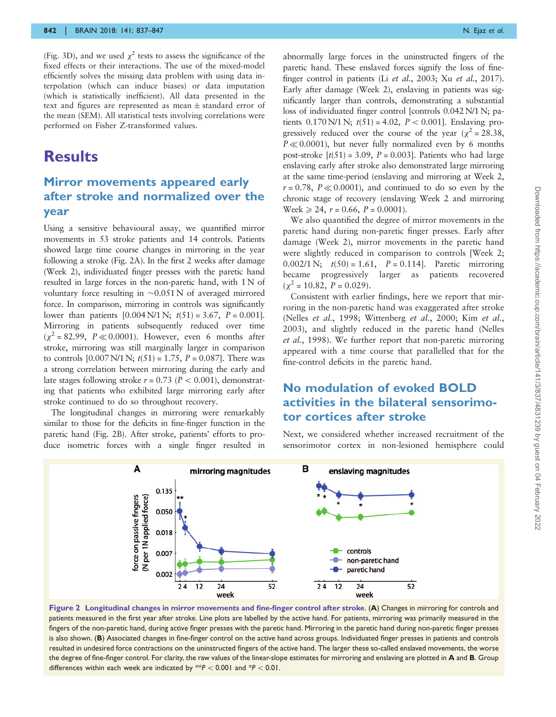<span id="page-7-0"></span>[\(Fig. 3](#page-8-0)D), and we used  $\chi^2$  tests to assess the significance of the fixed effects or their interactions. The use of the mixed-model efficiently solves the missing data problem with using data interpolation (which can induce biases) or data imputation (which is statistically inefficient). All data presented in the text and figures are represented as mean  $\pm$  standard error of the mean (SEM). All statistical tests involving correlations were performed on Fisher Z-transformed values.

## **Results**

### Mirror movements appeared early after stroke and normalized over the year

Using a sensitive behavioural assay, we quantified mirror movements in 53 stroke patients and 14 controls. Patients showed large time course changes in mirroring in the year following a stroke (Fig. 2A). In the first 2 weeks after damage (Week 2), individuated finger presses with the paretic hand resulted in large forces in the non-paretic hand, with 1 N of voluntary force resulting in  $\sim 0.051 \text{ N}$  of averaged mirrored force. In comparison, mirroring in controls was significantly lower than patients  $[0.004 \text{ N}/1 \text{ N}; t(51) = 3.67, P = 0.001]$ . Mirroring in patients subsequently reduced over time  $(\chi^2 = 82.99, P \ll 0.0001)$ . However, even 6 months after stroke, mirroring was still marginally larger in comparison to controls  $[0.007 \text{ N}/1 \text{ N}; t(51) = 1.75, P = 0.087]$ . There was a strong correlation between mirroring during the early and late stages following stroke  $r = 0.73$  ( $P < 0.001$ ), demonstrating that patients who exhibited large mirroring early after stroke continued to do so throughout recovery.

The longitudinal changes in mirroring were remarkably similar to those for the deficits in fine-finger function in the paretic hand (Fig. 2B). After stroke, patients' efforts to produce isometric forces with a single finger resulted in abnormally large forces in the uninstructed fingers of the paretic hand. These enslaved forces signify the loss of finefinger control in patients (Li et al.[, 2003;](#page-12-0) Xu et al.[, 2017\)](#page-12-0). Early after damage (Week 2), enslaving in patients was significantly larger than controls, demonstrating a substantial loss of individuated finger control [controls 0.042 N/1 N; patients  $0.170 \text{ N}/1 \text{ N}$ ;  $t(51) = 4.02$ ,  $P < 0.001$ ]. Enslaving progressively reduced over the course of the year ( $\chi^2$  = 28.38,  $P \ll 0.0001$ , but never fully normalized even by 6 months post-stroke  $[t(51) = 3.09, P = 0.003]$ . Patients who had large enslaving early after stroke also demonstrated large mirroring at the same time-period (enslaving and mirroring at Week 2,  $r = 0.78$ ,  $P \ll 0.0001$ , and continued to do so even by the chronic stage of recovery (enslaving Week 2 and mirroring Week  $\geq 24$ ,  $r = 0.66$ ,  $P = 0.0001$ .

We also quantified the degree of mirror movements in the paretic hand during non-paretic finger presses. Early after damage (Week 2), mirror movements in the paretic hand were slightly reduced in comparison to controls [Week 2; 0.002/1 N;  $t(50) = 1.61$ ,  $P = 0.114$ . Paretic mirroring became progressively larger as patients recovered  $(\chi^2 = 10.82, P = 0.029).$ 

Consistent with earlier findings, here we report that mirroring in the non-paretic hand was exaggerated after stroke (Nelles et al.[, 1998; Wittenberg](#page-12-0) et al., 2000; Kim [et al.](#page-12-0), [2003\)](#page-12-0), and slightly reduced in the paretic hand [\(Nelles](#page-12-0) et al.[, 1998](#page-12-0)). We further report that non-paretic mirroring appeared with a time course that parallelled that for the fine-control deficits in the paretic hand.

## No modulation of evoked BOLD activities in the bilateral sensorimotor cortices after stroke

Next, we considered whether increased recruitment of the sensorimotor cortex in non-lesioned hemisphere could



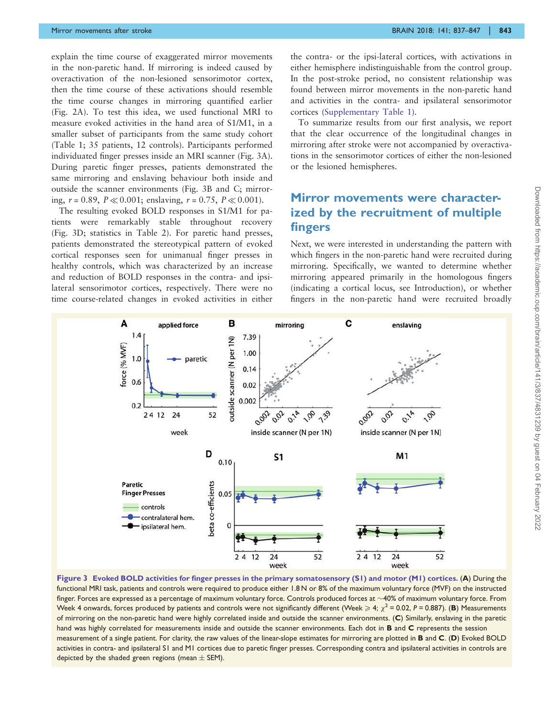<span id="page-8-0"></span>explain the time course of exaggerated mirror movements in the non-paretic hand. If mirroring is indeed caused by overactivation of the non-lesioned sensorimotor cortex, then the time course of these activations should resemble the time course changes in mirroring quantified earlier ([Fig. 2](#page-7-0)A). To test this idea, we used functional MRI to measure evoked activities in the hand area of S1/M1, in a smaller subset of participants from the same study cohort ([Table 1;](#page-5-0) 35 patients, 12 controls). Participants performed individuated finger presses inside an MRI scanner (Fig. 3A). During paretic finger presses, patients demonstrated the same mirroring and enslaving behaviour both inside and outside the scanner environments (Fig. 3B and C; mirroring,  $r = 0.89$ ,  $P \ll 0.001$ ; enslaving,  $r = 0.75$ ,  $P \ll 0.001$ ).

The resulting evoked BOLD responses in S1/M1 for patients were remarkably stable throughout recovery (Fig. 3D; statistics in [Table 2](#page-9-0)). For paretic hand presses, patients demonstrated the stereotypical pattern of evoked cortical responses seen for unimanual finger presses in healthy controls, which was characterized by an increase and reduction of BOLD responses in the contra- and ipsilateral sensorimotor cortices, respectively. There were no time course-related changes in evoked activities in either the contra- or the ipsi-lateral cortices, with activations in either hemisphere indistinguishable from the control group. In the post-stroke period, no consistent relationship was found between mirror movements in the non-paretic hand and activities in the contra- and ipsilateral sensorimotor cortices (Supplementary Table 1).

To summarize results from our first analysis, we report that the clear occurrence of the longitudinal changes in mirroring after stroke were not accompanied by overactivations in the sensorimotor cortices of either the non-lesioned or the lesioned hemispheres.

## Mirror movements were characterized by the recruitment of multiple fingers

Next, we were interested in understanding the pattern with which fingers in the non-paretic hand were recruited during mirroring. Specifically, we wanted to determine whether mirroring appeared primarily in the homologous fingers (indicating a cortical locus, see Introduction), or whether fingers in the non-paretic hand were recruited broadly



Figure 3 Evoked BOLD activities for finger presses in the primary somatosensory (S1) and motor (M1) cortices. (A) During the functional MRI task, patients and controls were required to produce either 1.8 N or 8% of the maximum voluntary force (MVF) on the instructed finger. Forces are expressed as a percentage of maximum voluntary force. Controls produced forces at  ${\sim}$ 40% of maximum voluntary force. From Week 4 onwards, forces produced by patients and controls were not significantly different (Week  $\geqslant 4;~\chi^2$  = 0.02, P = 0.887). (B) Measurements of mirroring on the non-paretic hand were highly correlated inside and outside the scanner environments. (C) Similarly, enslaving in the paretic hand was highly correlated for measurements inside and outside the scanner environments. Each dot in **B** and **C** represents the session measurement of a single patient. For clarity, the raw values of the linear-slope estimates for mirroring are plotted in B and C. (D) Evoked BOLD activities in contra- and ipsilateral S1 and M1 cortices due to paretic finger presses. Corresponding contra and ipsilateral activities in controls are depicted by the shaded green regions (mean  $\pm$  SEM).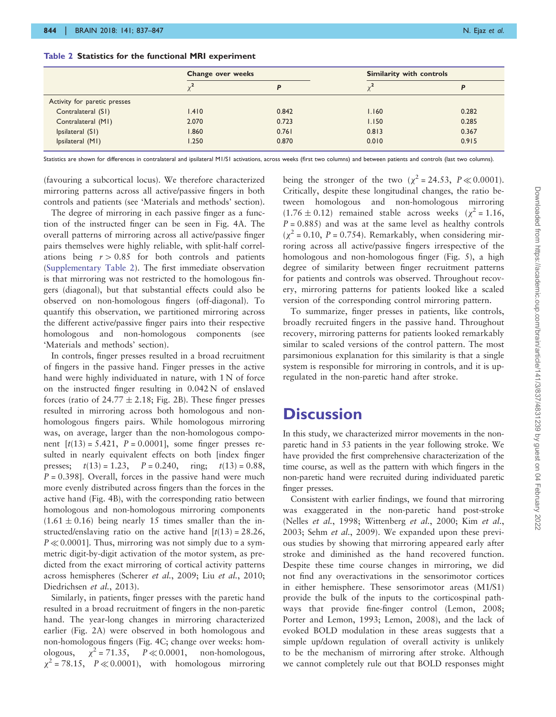|                              | Change over weeks |       | Similarity with controls |       |
|------------------------------|-------------------|-------|--------------------------|-------|
|                              |                   |       |                          |       |
| Activity for paretic presses |                   |       |                          |       |
| Contralateral (S1)           | 1.410             | 0.842 | 1.160                    | 0.282 |
| Contralateral (M1)           | 2.070             | 0.723 | 1.150                    | 0.285 |
| Ipsilateral (S1)             | 1.860             | 0.761 | 0.813                    | 0.367 |
| Ipsilateral (M1)             | 1.250             | 0.870 | 0.010                    | 0.915 |

<span id="page-9-0"></span>Table 2 Statistics for the functional MRI experiment

Statistics are shown for differences in contralateral and ipsilateral M1/S1 activations, across weeks (first two columns) and between patients and controls (last two columns).

(favouring a subcortical locus). We therefore characterized mirroring patterns across all active/passive fingers in both controls and patients (see 'Materials and methods' section).

The degree of mirroring in each passive finger as a function of the instructed finger can be seen in [Fig. 4A](#page-10-0). The overall patterns of mirroring across all active/passive finger pairs themselves were highly reliable, with split-half correlations being  $r > 0.85$  for both controls and patients (Supplementary Table 2). The first immediate observation is that mirroring was not restricted to the homologous fingers (diagonal), but that substantial effects could also be observed on non-homologous fingers (off-diagonal). To quantify this observation, we partitioned mirroring across the different active/passive finger pairs into their respective homologous and non-homologous components (see 'Materials and methods' section).

In controls, finger presses resulted in a broad recruitment of fingers in the passive hand. Finger presses in the active hand were highly individuated in nature, with 1 N of force on the instructed finger resulting in 0.042 N of enslaved forces (ratio of  $24.77 \pm 2.18$ ; [Fig. 2](#page-7-0)B). These finger presses resulted in mirroring across both homologous and nonhomologous fingers pairs. While homologous mirroring was, on average, larger than the non-homologous component  $[t(13) = 5.421, P = 0.0001]$ , some finger presses resulted in nearly equivalent effects on both [index finger presses;  $t(13) = 1.23$ ,  $P = 0.240$ , ring;  $t(13) = 0.88$ ,  $P = 0.398$ . Overall, forces in the passive hand were much more evenly distributed across fingers than the forces in the active hand [\(Fig. 4B](#page-10-0)), with the corresponding ratio between homologous and non-homologous mirroring components  $(1.61 \pm 0.16)$  being nearly 15 times smaller than the instructed/enslaving ratio on the active hand  $[t(13) = 28.26,$  $P \ll 0.0001$ . Thus, mirroring was not simply due to a symmetric digit-by-digit activation of the motor system, as predicted from the exact mirroring of cortical activity patterns across hemispheres ([Scherer](#page-12-0) et al., 2009; Liu et al.[, 2010;](#page-12-0) [Diedrichsen](#page-12-0) et al., 2013).

Similarly, in patients, finger presses with the paretic hand resulted in a broad recruitment of fingers in the non-paretic hand. The year-long changes in mirroring characterized earlier [\(Fig. 2A](#page-7-0)) were observed in both homologous and non-homologous fingers ([Fig. 4](#page-10-0)C; change over weeks: homologous, - $\chi^2$  = 71.35,  $P \ll 0.0001$ , non-homologous,  $\chi^2$  = 78.15,  $P \ll 0.0001$ , with homologous mirroring

being the stronger of the two ( $\chi^2$  = 24.53, P  $\ll$  0.0001). Critically, despite these longitudinal changes, the ratio between homologous and non-homologous mirroring  $(1.76 \pm 0.12)$  remained stable across weeks  $(\chi^2 = 1.16,$  $P = 0.885$ ) and was at the same level as healthy controls  $(\chi^2 = 0.10, P = 0.754)$ . Remarkably, when considering mirroring across all active/passive fingers irrespective of the homologous and non-homologous finger [\(Fig. 5\)](#page-10-0), a high degree of similarity between finger recruitment patterns for patients and controls was observed. Throughout recovery, mirroring patterns for patients looked like a scaled version of the corresponding control mirroring pattern.

To summarize, finger presses in patients, like controls, broadly recruited fingers in the passive hand. Throughout recovery, mirroring patterns for patients looked remarkably similar to scaled versions of the control pattern. The most parsimonious explanation for this similarity is that a single system is responsible for mirroring in controls, and it is upregulated in the non-paretic hand after stroke.

## **Discussion**

In this study, we characterized mirror movements in the nonparetic hand in 53 patients in the year following stroke. We have provided the first comprehensive characterization of the time course, as well as the pattern with which fingers in the non-paretic hand were recruited during individuated paretic finger presses.

Consistent with earlier findings, we found that mirroring was exaggerated in the non-paretic hand post-stroke (Nelles et al.[, 1998; Wittenberg](#page-12-0) et al., 2000; Kim [et al.](#page-12-0), [2003;](#page-12-0) Sehm et al.[, 2009\)](#page-12-0). We expanded upon these previous studies by showing that mirroring appeared early after stroke and diminished as the hand recovered function. Despite these time course changes in mirroring, we did not find any overactivations in the sensorimotor cortices in either hemisphere. These sensorimotor areas (M1/S1) provide the bulk of the inputs to the corticospinal pathways that provide fine-finger control ([Lemon, 2008](#page-12-0); [Porter and Lemon, 1993](#page-12-0); [Lemon, 2008](#page-12-0)), and the lack of evoked BOLD modulation in these areas suggests that a simple up/down regulation of overall activity is unlikely to be the mechanism of mirroring after stroke. Although we cannot completely rule out that BOLD responses might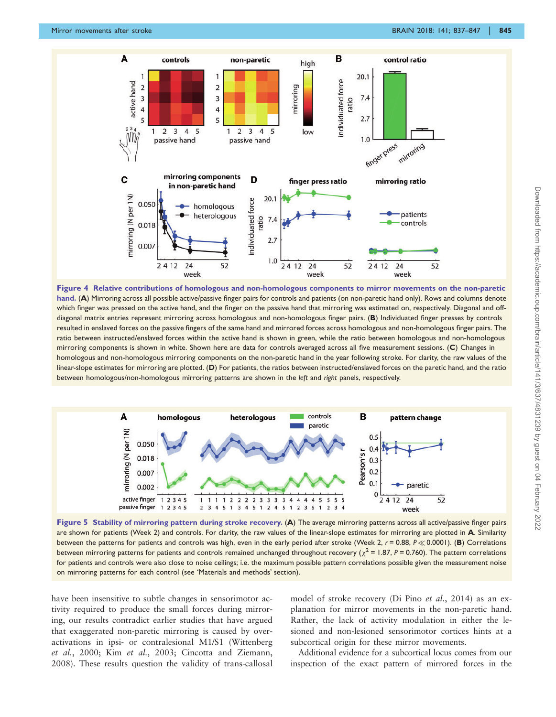<span id="page-10-0"></span>

Figure 4 Relative contributions of homologous and non-homologous components to mirror movements on the non-paretic hand. (A) Mirroring across all possible active/passive finger pairs for controls and patients (on non-paretic hand only). Rows and columns denote which finger was pressed on the active hand, and the finger on the passive hand that mirroring was estimated on, respectively. Diagonal and offdiagonal matrix entries represent mirroring across homologous and non-homologous finger pairs. (B) Individuated finger presses by controls resulted in enslaved forces on the passive fingers of the same hand and mirrored forces across homologous and non-homologous finger pairs. The ratio between instructed/enslaved forces within the active hand is shown in green, while the ratio between homologous and non-homologous mirroring components is shown in white. Shown here are data for controls averaged across all five measurement sessions. (C) Changes in homologous and non-homologous mirroring components on the non-paretic hand in the year following stroke. For clarity, the raw values of the linear-slope estimates for mirroring are plotted. (D) For patients, the ratios between instructed/enslaved forces on the paretic hand, and the ratio between homologous/non-homologous mirroring patterns are shown in the left and right panels, respectively.



Figure 5 Stability of mirroring pattern during stroke recovery. (A) The average mirroring patterns across all active/passive finger pairs are shown for patients (Week 2) and controls. For clarity, the raw values of the linear-slope estimates for mirroring are plotted in A. Similarity between the patterns for patients and controls was high, even in the early period after stroke (Week 2,  $r = 0.88$ ,  $P \ll 0.0001$ ). (B) Correlations between mirroring patterns for patients and controls remained unchanged throughout recovery ( $\chi^2$  = 1.87, P = 0.760). The pattern correlations for patients and controls were also close to noise ceilings; i.e. the maximum possible pattern correlations possible given the measurement noise on mirroring patterns for each control (see 'Materials and methods' section).

have been insensitive to subtle changes in sensorimotor activity required to produce the small forces during mirroring, our results contradict earlier studies that have argued that exaggerated non-paretic mirroring is caused by overactivations in ipsi- or contralesional M1/S1 [\(Wittenberg](#page-12-0) et al.[, 2000;](#page-12-0) Kim et al.[, 2003; Cincotta and Ziemann,](#page-12-0) [2008\)](#page-12-0). These results question the validity of trans-callosal model of stroke recovery ([Di Pino](#page-12-0) et al., 2014) as an explanation for mirror movements in the non-paretic hand. Rather, the lack of activity modulation in either the lesioned and non-lesioned sensorimotor cortices hints at a subcortical origin for these mirror movements.

Additional evidence for a subcortical locus comes from our inspection of the exact pattern of mirrored forces in the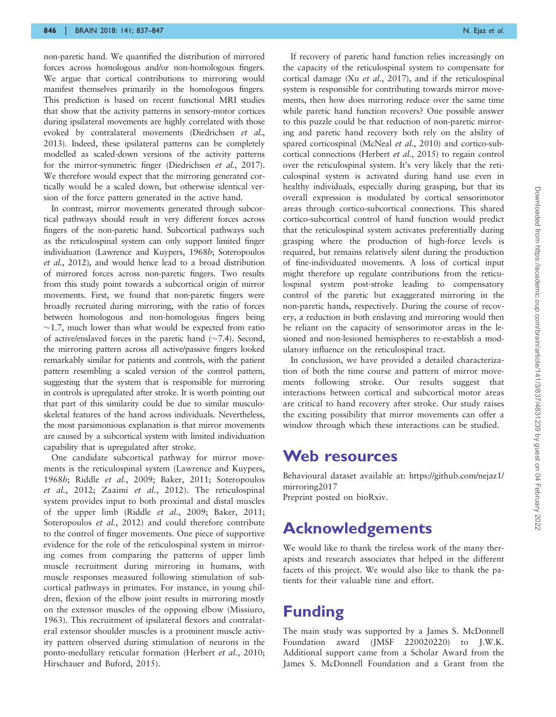non-paretic hand. We quantified the distribution of mirrored forces across homologous and/or non-homologous fingers. We argue that cortical contributions to mirroring would manifest themselves primarily in the homologous fingers. This prediction is based on recent functional MRI studies that show that the activity patterns in sensory-motor cortices during ipsilateral movements are highly correlated with those evoked by contralateral movements [\(Diedrichsen](#page-12-0) et al., [2013](#page-12-0)). Indeed, these ipsilateral patterns can be completely modelled as scaled-down versions of the activity patterns for the mirror-symmetric finger [\(Diedrichsen](#page-12-0) et al., 2017). We therefore would expect that the mirroring generated cortically would be a scaled down, but otherwise identical version of the force pattern generated in the active hand.

In contrast, mirror movements generated through subcortical pathways should result in very different forces across fingers of the non-paretic hand. Subcortical pathways such as the reticulospinal system can only support limited finger individuation ([Lawrence and Kuypers, 1968](#page-12-0)b; [Soteropoulos](#page-12-0) et al.[, 2012](#page-12-0)), and would hence lead to a broad distribution of mirrored forces across non-paretic fingers. Two results from this study point towards a subcortical origin of mirror movements. First, we found that non-paretic fingers were broadly recruited during mirroring, with the ratio of forces between homologous and non-homologous fingers being  $\sim$ 1.7, much lower than what would be expected from ratio of active/enslaved forces in the paretic hand  $(\sim 7.4)$ . Second, the mirroring pattern across all active/passive fingers looked remarkably similar for patients and controls, with the patient pattern resembling a scaled version of the control pattern, suggesting that the system that is responsible for mirroring in controls is upregulated after stroke. It is worth pointing out that part of this similarity could be due to similar musculoskeletal features of the hand across individuals. Nevertheless, the most parsimonious explanation is that mirror movements are caused by a subcortical system with limited individuation capability that is upregulated after stroke.

One candidate subcortical pathway for mirror movements is the reticulospinal system [\(Lawrence and Kuypers,](#page-12-0) [1968](#page-12-0)b; Riddle et al.[, 2009](#page-12-0); [Baker, 2011](#page-12-0); [Soteropoulos](#page-12-0) et al.[, 2012;](#page-12-0) Zaaimi et al.[, 2012\)](#page-12-0). The reticulospinal system provides input to both proximal and distal muscles of the upper limb (Riddle et al.[, 2009; Baker, 2011;](#page-12-0) [Soteropoulos](#page-12-0) *et al.*, 2012) and could therefore contribute to the control of finger movements. One piece of supportive evidence for the role of the reticulospinal system in mirroring comes from comparing the patterns of upper limb muscle recruitment during mirroring in humans, with muscle responses measured following stimulation of subcortical pathways in primates. For instance, in young children, flexion of the elbow joint results in mirroring mostly on the extensor muscles of the opposing elbow ([Missiuro,](#page-12-0) [1963](#page-12-0)). This recruitment of ipsilateral flexors and contralateral extensor shoulder muscles is a prominent muscle activity pattern observed during stimulation of neurons in the ponto-medullary reticular formation [\(Herbert](#page-12-0) et al., 2010; [Hirschauer and Buford, 2015](#page-12-0)).

If recovery of paretic hand function relies increasingly on the capacity of the reticulospinal system to compensate for cortical damage (Xu et al.[, 2017\)](#page-12-0), and if the reticulospinal system is responsible for contributing towards mirror movements, then how does mirroring reduce over the same time while paretic hand function recovers? One possible answer to this puzzle could be that reduction of non-paretic mirroring and paretic hand recovery both rely on the ability of spared corticospinal ([McNeal](#page-12-0) et al., 2010) and cortico-sub-cortical connections ([Herbert](#page-12-0) et al., 2015) to regain control over the reticulospinal system. It's very likely that the reticulospinal system is activated during hand use even in healthy individuals, especially during grasping, but that its overall expression is modulated by cortical sensorimotor areas through cortico-subcortical connections. This shared cortico-subcortical control of hand function would predict that the reticulospinal system activates preferentially during grasping where the production of high-force levels is required, but remains relatively silent during the production of fine-individuated movements. A loss of cortical input might therefore up regulate contributions from the reticulospinal system post-stroke leading to compensatory control of the paretic but exaggerated mirroring in the non-paretic hands, respectively. During the course of recovery, a reduction in both enslaving and mirroring would then be reliant on the capacity of sensorimotor areas in the lesioned and non-lesioned hemispheres to re-establish a modulatory influence on the reticulospinal tract.

In conclusion, we have provided a detailed characterization of both the time course and pattern of mirror movements following stroke. Our results suggest that interactions between cortical and subcortical motor areas are critical to hand recovery after stroke. Our study raises the exciting possibility that mirror movements can offer a window through which these interactions can be studied.

## Web resources

Behavioural dataset available at: https://github.com/nejaz1/ mirroring2017 Preprint posted on bioRxiv.

## Acknowledgements

We would like to thank the tireless work of the many therapists and research associates that helped in the different facets of this project. We would also like to thank the patients for their valuable time and effort.

# Funding

The main study was supported by a James S. McDonnell Foundation award (JMSF 220020220) to J.W.K. Additional support came from a Scholar Award from the James S. McDonnell Foundation and a Grant from the